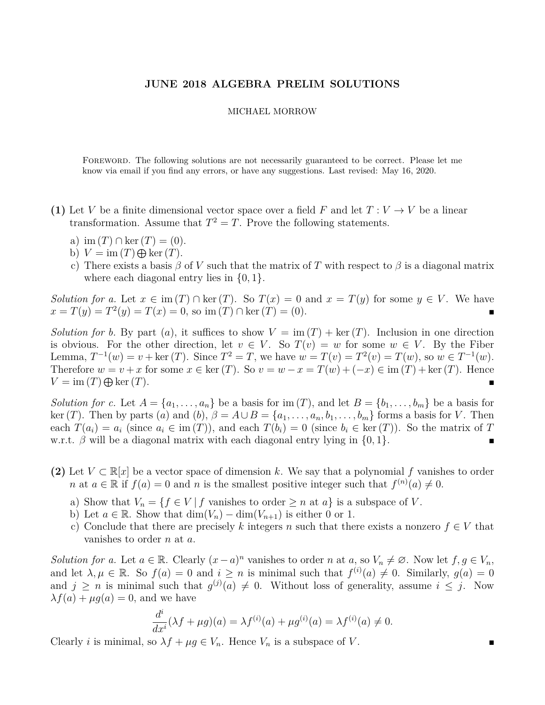## **JUNE 2018 ALGEBRA PRELIM SOLUTIONS**

## MICHAEL MORROW

Foreword. The following solutions are not necessarily guaranteed to be correct. Please let me know via email if you find any errors, or have any suggestions. Last revised: May 16, 2020.

- **(1)** Let *V* be a finite dimensional vector space over a field *F* and let  $T: V \to V$  be a linear transformation. Assume that  $T^2 = T$ . Prove the following statements.
	- a) im  $(T) \cap \text{ker}(T) = (0)$ .
	- b)  $V = \text{im}(T) \bigoplus \text{ker}(T)$ .
	- c) There exists a basis  $\beta$  of *V* such that the matrix of *T* with respect to  $\beta$  is a diagonal matrix where each diagonal entry lies in {0*,* 1}.

*Solution for a.* Let  $x \in \text{im}(T) \cap \text{ker}(T)$ . So  $T(x) = 0$  and  $x = T(y)$  for some  $y \in V$ . We have  $x = T(y) = T^2(y) = T(x) = 0$ , so im  $(T) \cap \text{ker}(T) = (0)$ .

*Solution for b.* By part (*a*), it suffices to show  $V = \text{im}(T) + \text{ker}(T)$ . Inclusion in one direction is obvious. For the other direction, let  $v \in V$ . So  $T(v) = w$  for some  $w \in V$ . By the Fiber Lemma,  $T^{-1}(w) = v + \text{ker}(T)$ . Since  $T^2 = T$ , we have  $w = T(v) = T^2(v) = T(w)$ , so  $w \in T^{-1}(w)$ . Therefore  $w = v + x$  for some  $x \in \text{ker}(T)$ . So  $v = w - x = T(w) + (-x) \in \text{im}(T) + \text{ker}(T)$ . Hence  $V = \text{im}(T) \bigoplus \text{ker}(T)$ .

*Solution for c.* Let  $A = \{a_1, \ldots, a_n\}$  be a basis for im  $(T)$ , and let  $B = \{b_1, \ldots, b_m\}$  be a basis for ker(*T*). Then by parts (*a*) and (*b*),  $\beta = A \cup B = \{a_1, \ldots, a_n, b_1, \ldots, b_m\}$  forms a basis for *V*. Then each  $T(a_i) = a_i$  (since  $a_i \in \text{im}(T)$ ), and each  $T(b_i) = 0$  (since  $b_i \in \text{ker}(T)$ ). So the matrix of *T* w.r.t. *β* will be a diagonal matrix with each diagonal entry lying in {0*,* 1}.

- **(2)** Let  $V \subset \mathbb{R}[x]$  be a vector space of dimension k. We say that a polynomial f vanishes to order *n* at  $a \in \mathbb{R}$  if  $f(a) = 0$  and *n* is the smallest positive integer such that  $f^{(n)}(a) \neq 0$ .
	- a) Show that  $V_n = \{f \in V \mid f \text{ vanishes to order } \geq n \text{ at } a\}$  is a subspace of *V*.
	- b) Let  $a \in \mathbb{R}$ . Show that  $\dim(V_n) \dim(V_{n+1})$  is either 0 or 1.
	- c) Conclude that there are precisely k integers n such that there exists a nonzero  $f \in V$  that vanishes to order *n* at *a*.

*Solution for a.* Let  $a \in \mathbb{R}$ . Clearly  $(x - a)^n$  vanishes to order *n* at  $a$ , so  $V_n \neq \emptyset$ . Now let  $f, g \in V_n$ , and let  $\lambda, \mu \in \mathbb{R}$ . So  $f(a) = 0$  and  $i \geq n$  is minimal such that  $f^{(i)}(a) \neq 0$ . Similarly,  $g(a) = 0$ and  $j \geq n$  is minimal such that  $g^{(j)}(a) \neq 0$ . Without loss of generality, assume  $i \leq j$ . Now  $\lambda f(a) + \mu g(a) = 0$ , and we have

$$
\frac{d^{i}}{dx^{i}}(\lambda f + \mu g)(a) = \lambda f^{(i)}(a) + \mu g^{(i)}(a) = \lambda f^{(i)}(a) \neq 0.
$$

Clearly *i* is minimal, so  $\lambda f + \mu g \in V_n$ . Hence  $V_n$  is a subspace of V.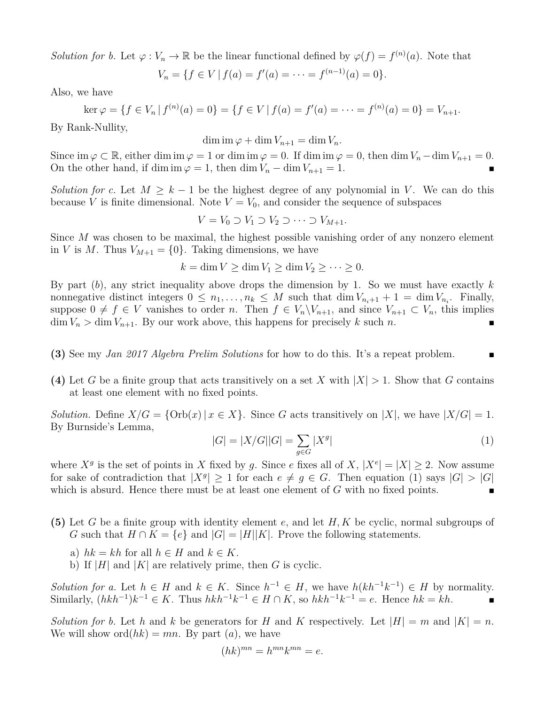*Solution for b.* Let  $\varphi : V_n \to \mathbb{R}$  be the linear functional defined by  $\varphi(f) = f^{(n)}(a)$ . Note that

$$
V_n = \{ f \in V \mid f(a) = f'(a) = \dots = f^{(n-1)}(a) = 0 \}.
$$

Also, we have

$$
\ker \varphi = \{ f \in V_n \mid f^{(n)}(a) = 0 \} = \{ f \in V \mid f(a) = f'(a) = \dots = f^{(n)}(a) = 0 \} = V_{n+1}.
$$

By Rank-Nullity,

 $\dim \mathrm{im}\, \varphi + \dim V_{n+1} = \dim V_n.$ 

Since im  $\varphi \subset \mathbb{R}$ , either dim im  $\varphi = 1$  or dim im  $\varphi = 0$ . If dim im  $\varphi = 0$ , then dim  $V_n - \dim V_{n+1} = 0$ . On the other hand, if dim im  $\varphi = 1$ , then dim  $V_n - \dim V_{n+1} = 1$ .

*Solution for c.* Let  $M \geq k - 1$  be the highest degree of any polynomial in *V*. We can do this because *V* is finite dimensional. Note  $V = V_0$ , and consider the sequence of subspaces

$$
V = V_0 \supset V_1 \supset V_2 \supset \cdots \supset V_{M+1}.
$$

Since *M* was chosen to be maximal, the highest possible vanishing order of any nonzero element in *V* is *M*. Thus  $V_{M+1} = \{0\}$ . Taking dimensions, we have

 $k = \dim V > \dim V_1 > \dim V_2 > \cdots > 0.$ 

By part (*b*), any strict inequality above drops the dimension by 1. So we must have exactly *k* nonnegative distinct integers  $0 \leq n_1, \ldots, n_k \leq M$  such that  $\dim V_{n_i+1} + 1 = \dim V_{n_i}$ . Finally, suppose  $0 \neq f \in V$  vanishes to order *n*. Then  $f \in V_n \backslash V_{n+1}$ , and since  $V_{n+1} \subset V_n$ , this implies  $\dim V_n > \dim V_{n+1}$ . By our work above, this happens for precisely *k* such *n*.

- **(3)** See my *Jan 2017 Algebra Prelim Solutions* for how to do this. It's a repeat problem.
- (4) Let *G* be a finite group that acts transitively on a set *X* with  $|X| > 1$ . Show that *G* contains at least one element with no fixed points.

*Solution.* Define  $X/G = \{ \text{Orb}(x) | x \in X \}$ . Since *G* acts transitively on  $|X|$ , we have  $|X/G| = 1$ . By Burnside's Lemma,

$$
|G| = |X/G||G| = \sum_{g \in G} |X^g|
$$
 (1)

where  $X^g$  is the set of points in *X* fixed by *g*. Since *e* fixes all of *X*,  $|X^e| = |X| \ge 2$ . Now assume for sake of contradiction that  $|X^g| \geq 1$  for each  $e \neq g \in G$ . Then equation (1) says  $|G| > |G|$ which is absurd. Hence there must be at least one element of *G* with no fixed points.

- **(5)** Let *G* be a finite group with identity element *e*, and let *H, K* be cyclic, normal subgroups of *G* such that  $H \cap K = \{e\}$  and  $|G| = |H||K|$ . Prove the following statements.
	- a)  $hk = kh$  for all  $h \in H$  and  $k \in K$ .
	- b) If  $|H|$  and  $|K|$  are relatively prime, then *G* is cyclic.

*Solution for a.* Let  $h \in H$  and  $k \in K$ . Since  $h^{-1} \in H$ , we have  $h(kh^{-1}k^{-1}) \in H$  by normality. Similarly,  $(hkh^{-1})k^{-1} \in K$ . Thus  $hkh^{-1}k^{-1} \in H \cap K$ , so  $hkh^{-1}k^{-1} = e$ . Hence  $hk = kh$ . ■

*Solution for b.* Let *h* and *k* be generators for *H* and *K* respectively. Let  $|H| = m$  and  $|K| = n$ . We will show  $\text{ord}(hk) = mn$ . By part  $(a)$ , we have

$$
(hk)^{mn} = h^{mn}k^{mn} = e.
$$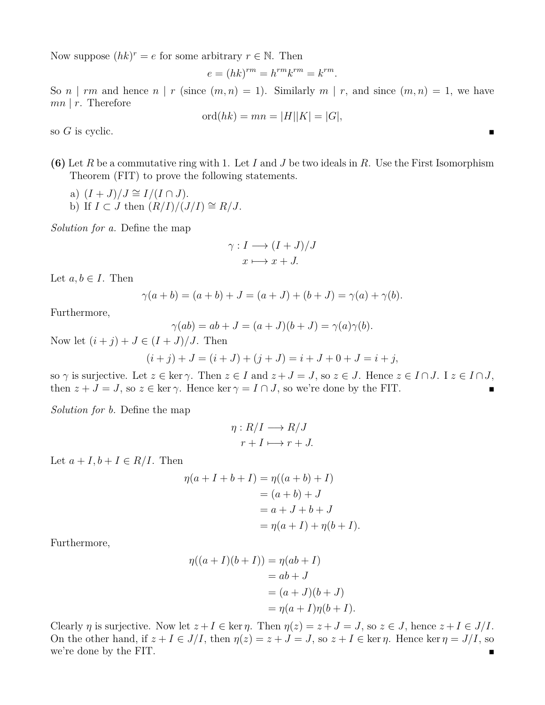Now suppose  $(hk)^r = e$  for some arbitrary  $r \in \mathbb{N}$ . Then

$$
e = (hk)^{rm} = h^{rm}k^{rm} = k^{rm}.
$$

So *n* | *rm* and hence *n* | *r* (since  $(m, n) = 1$ ). Similarly  $m \mid r$ , and since  $(m, n) = 1$ , we have *mn* | *r*. Therefore

$$
ord(hk) = mn = |H||K| = |G|,
$$

so *G* is cyclic.

**(6)** Let *R* be a commutative ring with 1. Let *I* and *J* be two ideals in *R*. Use the First Isomorphism Theorem (FIT) to prove the following statements.

- a)  $(I+J)/J \cong I/(I \cap J)$ .
- b) If  $I \subset J$  then  $(R/I)/(J/I) \cong R/J$ .

*Solution for a.* Define the map

$$
\gamma: I \longrightarrow (I+J)/J
$$

$$
x \longmapsto x+J.
$$

Let  $a, b \in I$ . Then

$$
\gamma(a+b) = (a+b) + J = (a+J) + (b+J) = \gamma(a) + \gamma(b).
$$

Furthermore,

$$
\gamma(ab) = ab + J = (a+J)(b+J) = \gamma(a)\gamma(b).
$$

Now let  $(i + j) + J \in (I + J)/J$ . Then

$$
(i + j) + J = (i + J) + (j + J) = i + J + 0 + J = i + j,
$$

so  $\gamma$  is surjective. Let  $z \in \text{ker } \gamma$ . Then  $z \in I$  and  $z + J = J$ , so  $z \in J$ . Hence  $z \in I \cap J$ . I  $z \in I \cap J$ , then  $z + J = J$ , so  $z \in \ker \gamma$ . Hence  $\ker \gamma = I \cap J$ , so we're done by the FIT.

*Solution for b.* Define the map

$$
\eta: R/I \longrightarrow R/J
$$

$$
r + I \longmapsto r + J.
$$

Let  $a + I, b + I \in R/I$ . Then

$$
\eta(a + I + b + I) = \eta((a + b) + I)
$$
  
= (a + b) + J  
= a + J + b + J  
= \eta(a + I) + \eta(b + I).

Furthermore,

$$
\eta((a+I)(b+I)) = \eta(ab+I)
$$
  
= ab+J  
= (a+J)(b+J)  
=  $\eta(a+I)\eta(b+I)$ .

Clearly *η* is surjective. Now let  $z + I \in \text{ker } \eta$ . Then  $\eta(z) = z + J = J$ , so  $z \in J$ , hence  $z + I \in J/I$ . On the other hand, if  $z + I \in J/I$ , then  $\eta(z) = z + J = J$ , so  $z + I \in \text{ker } \eta$ . Hence ker  $\eta = J/I$ , so we're done by the FIT.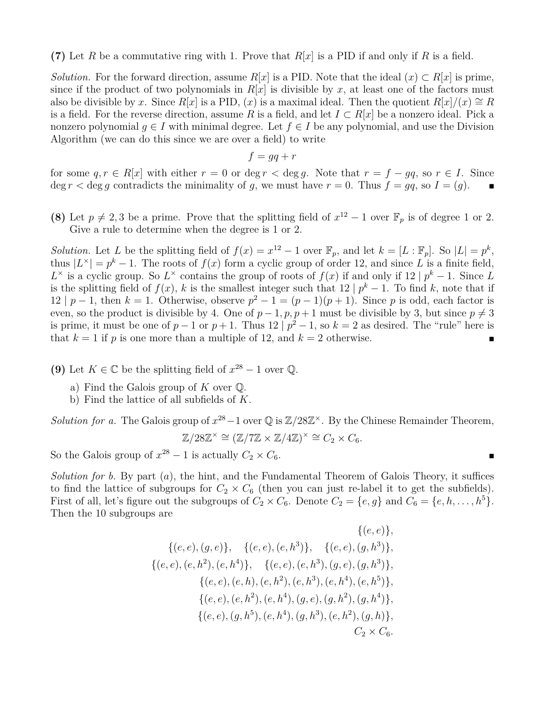**(7)** Let *R* be a commutative ring with 1. Prove that *R*[*x*] is a PID if and only if *R* is a field.

*Solution.* For the forward direction, assume  $R[x]$  is a PID. Note that the ideal  $(x) \subset R[x]$  is prime, since if the product of two polynomials in  $R[x]$  is divisible by x, at least one of the factors must also be divisible by *x*. Since  $R[x]$  is a PID,  $(x)$  is a maximal ideal. Then the quotient  $R[x]/(x) \cong R$ is a field. For the reverse direction, assume R is a field, and let  $I \subset R[x]$  be a nonzero ideal. Pick a nonzero polynomial  $g \in I$  with minimal degree. Let  $f \in I$  be any polynomial, and use the Division Algorithm (we can do this since we are over a field) to write

$$
f = gq + r
$$

for some  $q, r \in R[x]$  with either  $r = 0$  or deg  $r < \deg q$ . Note that  $r = f - qq$ , so  $r \in I$ . Since deg  $r <$  deg g contradicts the minimality of g, we must have  $r = 0$ . Thus  $f = gq$ , so  $I = (g)$ .

**(8)** Let  $p \neq 2, 3$  be a prime. Prove that the splitting field of  $x^{12} - 1$  over  $\mathbb{F}_p$  is of degree 1 or 2. Give a rule to determine when the degree is 1 or 2.

*Solution.* Let *L* be the splitting field of  $f(x) = x^{12} - 1$  over  $\mathbb{F}_p$ , and let  $k = [L : \mathbb{F}_p]$ . So  $|L| = p^k$ , thus  $|L^{\times}| = p^k - 1$ . The roots of  $f(x)$  form a cyclic group of order 12, and since L is a finite field,  $L^{\times}$  is a cyclic group. So  $L^{\times}$  contains the group of roots of  $f(x)$  if and only if 12 |  $p^{k} - 1$ . Since *L* is the splitting field of  $f(x)$ , *k* is the smallest integer such that 12 |  $p^k - 1$ . To find *k*, note that if 12 | *p* − 1, then *k* = 1. Otherwise, observe  $p^2 - 1 = (p - 1)(p + 1)$ . Since *p* is odd, each factor is even, so the product is divisible by 4. One of  $p-1$ ,  $p$ ,  $p+1$  must be divisible by 3, but since  $p \neq 3$ is prime, it must be one of  $p-1$  or  $p+1$ . Thus  $12 | p^2-1$ , so  $k=2$  as desired. The "rule" here is that  $k = 1$  if *p* is one more than a multiple of 12, and  $k = 2$  otherwise.

**(9)** Let  $K \in \mathbb{C}$  be the splitting field of  $x^{28} - 1$  over  $\mathbb{Q}$ .

- a) Find the Galois group of *K* over Q.
- b) Find the lattice of all subfields of *K*.

*Solution for a.* The Galois group of  $x^{28} - 1$  over  $\mathbb{Q}$  is  $\mathbb{Z}/28\mathbb{Z}^{\times}$ . By the Chinese Remainder Theorem,  $\mathbb{Z}/28\mathbb{Z}^{\times} \cong (\mathbb{Z}/7\mathbb{Z} \times \mathbb{Z}/4\mathbb{Z})^{\times} \cong C_2 \times C_6.$ 

So the Galois group of  $x^{28} - 1$  is actually  $C_2 \times C_6$ .

*Solution for b.* By part (*a*), the hint, and the Fundamental Theorem of Galois Theory, it suffices to find the lattice of subgroups for  $C_2 \times C_6$  (then you can just re-label it to get the subfields). First of all, let's figure out the subgroups of  $C_2 \times C_6$ . Denote  $C_2 = \{e, g\}$  and  $C_6 = \{e, h, \ldots, h^5\}$ . Then the 10 subgroups are

$$
\{(e, e), (g, e)\}, \{ (e, e), (e, h^{3}) \}, \{ (e, e), (g, h^{3}) \}, \{(e, e), (e, h^{2}), (e, h^{4}) \}, \{ (e, e), (e, h^{3}), (g, e), (g, h^{3}) \}, \{(e, e), (e, h), (e, h^{2}), (e, h^{3}), (e, h^{4}), (e, h^{5}) \}, \{(e, e), (e, h^{2}), (e, h^{4}), (g, e), (g, h^{2}), (g, h^{4}) \}, \{(e, e), (g, h^{5}), (e, h^{4}), (g, h^{3}), (e, h^{2}), (g, h) \}, \{ (e, e), (g, h^{5}), (e, h^{4}), (g, h^{3}), (e, h^{2}), (g, h) \}, \{ (e, e), (g, h^{5}), (e, h^{4}), (g, h^{3}), (e, h^{2}), (g, h) \}, \{ (e, e), (g, h^{5}), (e, h^{4}), (g, h^{3}), (e, h^{2}), (g, h) \}, \{ (e, e), (g, h^{5}), (e, h^{4}), (g, h^{3}), (e, h^{2}), (g, h) \}, \{ (e, e), (g, h^{5}), (e, h^{4}), (g, h^{3}), (e, h^{2}), (g, h^{4}), (g, h^{5}), (g, h^{6}), (g, h^{7}), (g, h^{8}), (h^{9}), (i, h^{9}), (j, h^{10}), (k, h^{11}), (l, h^{12}), (l, h^{13}), (l, h^{14}), (l, h^{15}), (l, h^{16}), (l, h^{17}), (l, h^{18}), (l, h^{19}), (l, h^{10}), (l, h^{11}), (l, h^{12}), (l, h^{13}), (l, h^{14}), (l, h^{15}), (l, h^{16}), (l, h^{17}), (l, h^{18}), (l, h^{19}), (l, h^{18}), (l, h^{19}), (l, h^{18}), (l, h^{19}), (l, h^{18}), (l, h^{19}), (l, h^{19}), (l, h^{19}), (l, h^{18}), (l, h^{19}), (l, h^{19}), (l, h^{19}), (l, h^{19}), (l, h^{18}), (l, h^{19}), (l, h^{19}), (l, h^{
$$